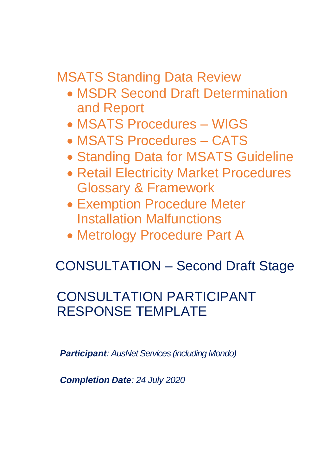MSATS Standing Data Review

- MSDR Second Draft Determination and Report
- MSATS Procedures WIGS
- MSATS Procedures CATS
- Standing Data for MSATS Guideline
- Retail Electricity Market Procedures Glossary & Framework
- Exemption Procedure Meter Installation Malfunctions
- Metrology Procedure Part A

# CONSULTATION – Second Draft Stage

## CONSULTATION PARTICIPANT RESPONSE TEMPLATE

*Participant: AusNet Services (including Mondo)*

*Completion Date: 24 July 2020*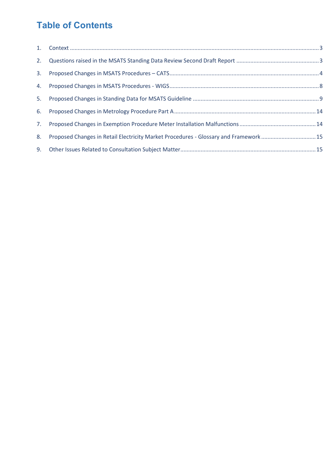### **Table of Contents**

| 5. |                                                                                      |  |
|----|--------------------------------------------------------------------------------------|--|
|    |                                                                                      |  |
|    |                                                                                      |  |
| 8. | Proposed Changes in Retail Electricity Market Procedures - Glossary and Framework 15 |  |
| 9. |                                                                                      |  |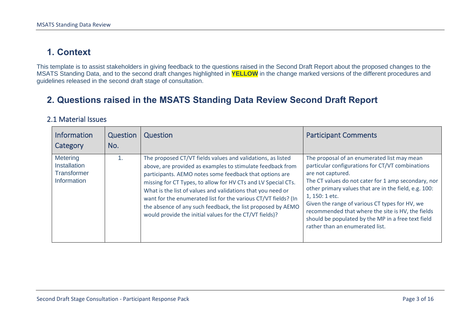### **1. Context**

This template is to assist stakeholders in giving feedback to the questions raised in the Second Draft Report about the proposed changes to the MSATS Standing Data, and to the second draft changes highlighted in **YELLOW** in the change marked versions of the different procedures and guidelines released in the second draft stage of consultation.

### **2. Questions raised in the MSATS Standing Data Review Second Draft Report**

#### 2.1 Material Issues

<span id="page-2-1"></span><span id="page-2-0"></span>

| <b>Information</b><br>Category                                       | Question<br>No. | Question                                                                                                                                                                                                                                                                                                                                                                                                                                                                                                         | <b>Participant Comments</b>                                                                                                                                                                                                                                                                                                                                                                                                                            |
|----------------------------------------------------------------------|-----------------|------------------------------------------------------------------------------------------------------------------------------------------------------------------------------------------------------------------------------------------------------------------------------------------------------------------------------------------------------------------------------------------------------------------------------------------------------------------------------------------------------------------|--------------------------------------------------------------------------------------------------------------------------------------------------------------------------------------------------------------------------------------------------------------------------------------------------------------------------------------------------------------------------------------------------------------------------------------------------------|
| <b>Metering</b><br>Installation<br><b>Transformer</b><br>Information |                 | The proposed CT/VT fields values and validations, as listed<br>above, are provided as examples to stimulate feedback from<br>participants. AEMO notes some feedback that options are<br>missing for CT Types, to allow for HV CTs and LV Special CTs.<br>What is the list of values and validations that you need or<br>want for the enumerated list for the various CT/VT fields? (In<br>the absence of any such feedback, the list proposed by AEMO<br>would provide the initial values for the CT/VT fields)? | The proposal of an enumerated list may mean<br>particular configurations for CT/VT combinations<br>are not captured.<br>The CT values do not cater for 1 amp secondary, nor<br>other primary values that are in the field, e.g. 100:<br>1, 150: 1 etc.<br>Given the range of various CT types for HV, we<br>recommended that where the site is HV, the fields<br>should be populated by the MP in a free text field<br>rather than an enumerated list. |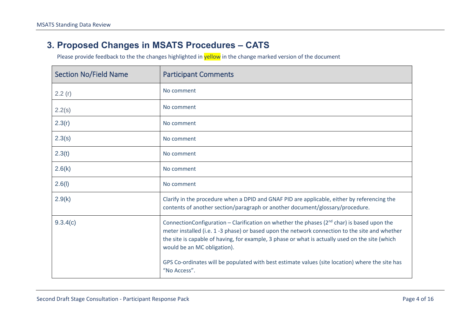#### **3. Proposed Changes in MSATS Procedures – CATS**

<span id="page-3-0"></span>

| <b>Section No/Field Name</b> | <b>Participant Comments</b>                                                                                                                                                                                                                                                                                                       |
|------------------------------|-----------------------------------------------------------------------------------------------------------------------------------------------------------------------------------------------------------------------------------------------------------------------------------------------------------------------------------|
| 2.2(r)                       | No comment                                                                                                                                                                                                                                                                                                                        |
| 2.2(s)                       | No comment                                                                                                                                                                                                                                                                                                                        |
| 2.3(r)                       | No comment                                                                                                                                                                                                                                                                                                                        |
| 2.3(s)                       | No comment                                                                                                                                                                                                                                                                                                                        |
| 2.3(t)                       | No comment                                                                                                                                                                                                                                                                                                                        |
| 2.6(k)                       | No comment                                                                                                                                                                                                                                                                                                                        |
| 2.6(1)                       | No comment                                                                                                                                                                                                                                                                                                                        |
| 2.9(k)                       | Clarify in the procedure when a DPID and GNAF PID are applicable, either by referencing the<br>contents of another section/paragraph or another document/glossary/procedure.                                                                                                                                                      |
| 9.3.4(c)                     | ConnectionConfiguration – Clarification on whether the phases ( $2nd$ char) is based upon the<br>meter installed (i.e. 1 -3 phase) or based upon the network connection to the site and whether<br>the site is capable of having, for example, 3 phase or what is actually used on the site (which<br>would be an MC obligation). |
|                              | GPS Co-ordinates will be populated with best estimate values (site location) where the site has<br>"No Access".                                                                                                                                                                                                                   |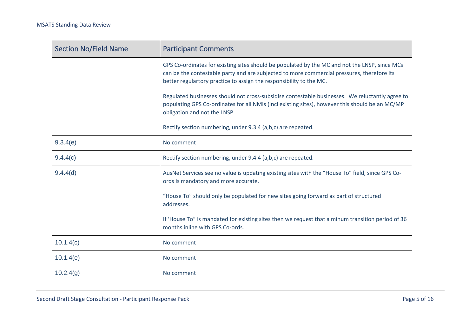| <b>Section No/Field Name</b> | <b>Participant Comments</b>                                                                                                                                                                                                                                        |
|------------------------------|--------------------------------------------------------------------------------------------------------------------------------------------------------------------------------------------------------------------------------------------------------------------|
|                              | GPS Co-ordinates for existing sites should be populated by the MC and not the LNSP, since MCs<br>can be the contestable party and are subjected to more commercial pressures, therefore its<br>better regulartory practice to assign the responsibility to the MC. |
|                              | Regulated businesses should not cross-subsidise contestable businesses. We reluctantly agree to<br>populating GPS Co-ordinates for all NMIs (incl existing sites), however this should be an MC/MP<br>obligation and not the LNSP.                                 |
|                              | Rectify section numbering, under 9.3.4 (a,b,c) are repeated.                                                                                                                                                                                                       |
| 9.3.4(e)                     | No comment                                                                                                                                                                                                                                                         |
| 9.4.4(c)                     | Rectify section numbering, under 9.4.4 (a,b,c) are repeated.                                                                                                                                                                                                       |
| 9.4.4(d)                     | AusNet Services see no value is updating existing sites with the "House To" field, since GPS Co-<br>ords is mandatory and more accurate.                                                                                                                           |
|                              | "House To" should only be populated for new sites going forward as part of structured<br>addresses.                                                                                                                                                                |
|                              | If 'House To" is mandated for existing sites then we request that a minum transition period of 36<br>months inline with GPS Co-ords.                                                                                                                               |
| 10.1.4(c)                    | No comment                                                                                                                                                                                                                                                         |
| 10.1.4(e)                    | No comment                                                                                                                                                                                                                                                         |
| 10.2.4(g)                    | No comment                                                                                                                                                                                                                                                         |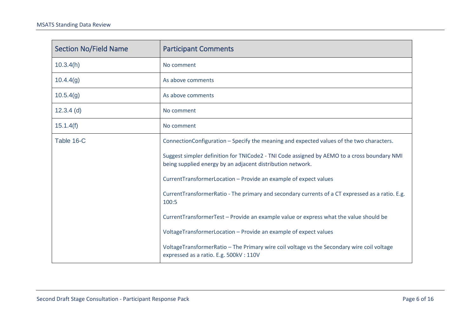| <b>Section No/Field Name</b> | <b>Participant Comments</b>                                                                                                                               |
|------------------------------|-----------------------------------------------------------------------------------------------------------------------------------------------------------|
| 10.3.4(h)                    | No comment                                                                                                                                                |
| 10.4.4(g)                    | As above comments                                                                                                                                         |
| 10.5.4(g)                    | As above comments                                                                                                                                         |
| $12.3.4$ (d)                 | No comment                                                                                                                                                |
| 15.1.4(f)                    | No comment                                                                                                                                                |
| Table 16-C                   | ConnectionConfiguration - Specify the meaning and expected values of the two characters.                                                                  |
|                              | Suggest simpler definition for TNICode2 - TNI Code assigned by AEMO to a cross boundary NMI<br>being supplied energy by an adjacent distribution network. |
|                              | CurrentTransformerLocation - Provide an example of expect values                                                                                          |
|                              | CurrentTransformerRatio - The primary and secondary currents of a CT expressed as a ratio. E.g.<br>100:5                                                  |
|                              | CurrentTransformerTest - Provide an example value or express what the value should be                                                                     |
|                              | VoltageTransformerLocation - Provide an example of expect values                                                                                          |
|                              | VoltageTransformerRatio - The Primary wire coil voltage vs the Secondary wire coil voltage<br>expressed as a ratio. E.g. 500kV: 110V                      |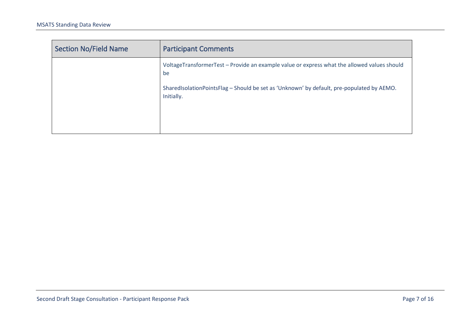| Section No/Field Name | <b>Participant Comments</b>                                                                             |
|-----------------------|---------------------------------------------------------------------------------------------------------|
|                       | VoltageTransformerTest - Provide an example value or express what the allowed values should<br>be       |
|                       | SharedIsolationPointsFlag - Should be set as 'Unknown' by default, pre-populated by AEMO.<br>Initially. |
|                       |                                                                                                         |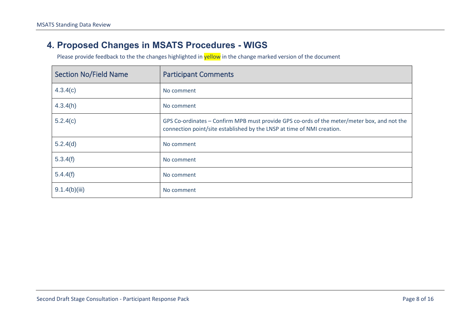#### **4. Proposed Changes in MSATS Procedures - WIGS**

<span id="page-7-0"></span>

| <b>Section No/Field Name</b> | <b>Participant Comments</b>                                                                                                                                           |
|------------------------------|-----------------------------------------------------------------------------------------------------------------------------------------------------------------------|
| 4.3.4(c)                     | No comment                                                                                                                                                            |
| 4.3.4(h)                     | No comment                                                                                                                                                            |
| 5.2.4(c)                     | GPS Co-ordinates – Confirm MPB must provide GPS co-ords of the meter/meter box, and not the<br>connection point/site established by the LNSP at time of NMI creation. |
| 5.2.4(d)                     | No comment                                                                                                                                                            |
| 5.3.4(f)                     | No comment                                                                                                                                                            |
| 5.4.4(f)                     | No comment                                                                                                                                                            |
| 9.1.4(b)(iii)                | No comment                                                                                                                                                            |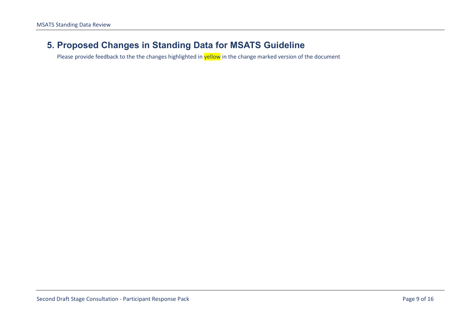#### <span id="page-8-0"></span>**5. Proposed Changes in Standing Data for MSATS Guideline**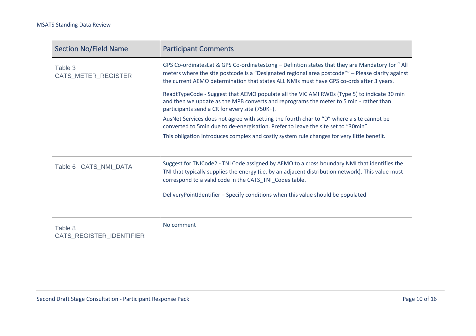| <b>Section No/Field Name</b>        | <b>Participant Comments</b>                                                                                                                                                                                                                                                                     |
|-------------------------------------|-------------------------------------------------------------------------------------------------------------------------------------------------------------------------------------------------------------------------------------------------------------------------------------------------|
| Table 3<br>CATS_METER_REGISTER      | GPS Co-ordinatesLat & GPS Co-ordinatesLong - Defintion states that they are Mandatory for "All<br>meters where the site postcode is a "Designated regional area postcode"" - Please clarify against<br>the current AEMO determination that states ALL NMIs must have GPS co-ords after 3 years. |
|                                     | ReadtTypeCode - Suggest that AEMO populate all the VIC AMI RWDs (Type 5) to indicate 30 min<br>and then we update as the MPB converts and reprograms the meter to 5 min - rather than<br>participants send a CR for every site (750K+).                                                         |
|                                     | AusNet Services does not agree with setting the fourth char to "D" where a site cannot be<br>converted to 5min due to de-energisation. Prefer to leave the site set to "30min".                                                                                                                 |
|                                     | This obligation introduces complex and costly system rule changes for very little benefit.                                                                                                                                                                                                      |
| Table 6 CATS_NMI_DATA               | Suggest for TNICode2 - TNI Code assigned by AEMO to a cross boundary NMI that identifies the<br>TNI that typically supplies the energy (i.e. by an adjacent distribution network). This value must<br>correspond to a valid code in the CATS_TNI_Codes table.                                   |
|                                     | DeliveryPointIdentifier - Specify conditions when this value should be populated                                                                                                                                                                                                                |
| Table 8<br>CATS_REGISTER_IDENTIFIER | No comment                                                                                                                                                                                                                                                                                      |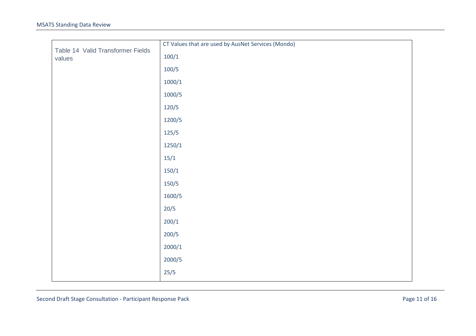| Table 14 Valid Transformer Fields | CT Values that are used by AusNet Services (Mondo) |
|-----------------------------------|----------------------------------------------------|
| values                            | 100/1                                              |
|                                   | 100/5                                              |
|                                   | 1000/1                                             |
|                                   | 1000/5                                             |
|                                   | 120/5                                              |
|                                   | 1200/5                                             |
|                                   | 125/5                                              |
|                                   | 1250/1                                             |
|                                   | 15/1                                               |
|                                   | 150/1                                              |
|                                   | 150/5                                              |
|                                   | 1600/5                                             |
|                                   | 20/5                                               |
|                                   | 200/1                                              |
|                                   | 200/5                                              |
|                                   | 2000/1                                             |
|                                   | 2000/5                                             |
|                                   | 25/5                                               |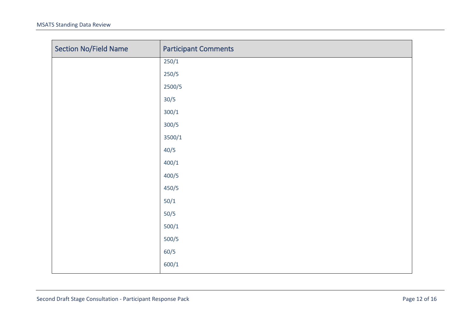| <b>Section No/Field Name</b> | <b>Participant Comments</b> |
|------------------------------|-----------------------------|
|                              | 250/1                       |
|                              | 250/5                       |
|                              | 2500/5                      |
|                              | 30/5                        |
|                              | 300/1                       |
|                              | 300/5                       |
|                              | 3500/1                      |
|                              | 40/5                        |
|                              | 400/1                       |
|                              | 400/5                       |
|                              | 450/5                       |
|                              | $50/1$                      |
|                              | $50/5$                      |
|                              | 500/1                       |
|                              | $500/5$                     |
|                              | 60/5                        |
|                              | 600/1                       |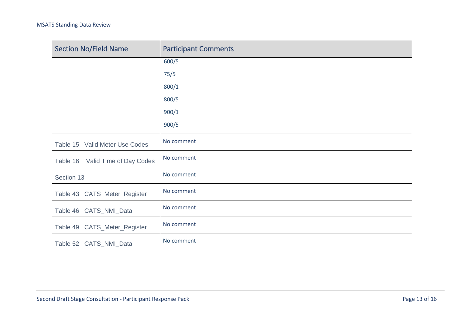| <b>Section No/Field Name</b>        | <b>Participant Comments</b> |
|-------------------------------------|-----------------------------|
|                                     | 600/5                       |
|                                     | 75/5                        |
|                                     | 800/1                       |
|                                     | 800/5                       |
|                                     | 900/1                       |
|                                     | 900/5                       |
| Table 15 Valid Meter Use Codes      | No comment                  |
| Valid Time of Day Codes<br>Table 16 | No comment                  |
| Section 13                          | No comment                  |
| Table 43 CATS_Meter_Register        | No comment                  |
| Table 46 CATS_NMI_Data              | No comment                  |
| Table 49 CATS_Meter_Register        | No comment                  |
| Table 52 CATS_NMI_Data              | No comment                  |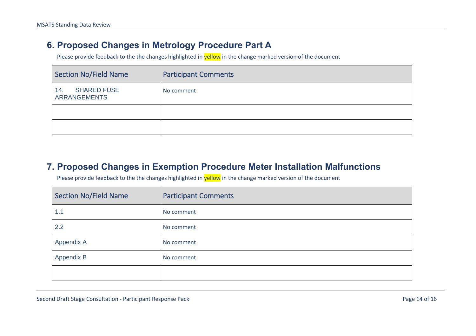#### **6. Proposed Changes in Metrology Procedure Part A**

Please provide feedback to the the changes highlighted in yellow in the change marked version of the document

| <b>Section No/Field Name</b>                     | <b>Participant Comments</b> |
|--------------------------------------------------|-----------------------------|
| <b>SHARED FUSE</b><br>14.<br><b>ARRANGEMENTS</b> | No comment                  |
|                                                  |                             |
|                                                  |                             |

#### **7. Proposed Changes in Exemption Procedure Meter Installation Malfunctions**

<span id="page-13-1"></span><span id="page-13-0"></span>

| <b>Section No/Field Name</b> | <b>Participant Comments</b> |
|------------------------------|-----------------------------|
| 1.1                          | No comment                  |
| 2.2                          | No comment                  |
| Appendix A                   | No comment                  |
| Appendix B                   | No comment                  |
|                              |                             |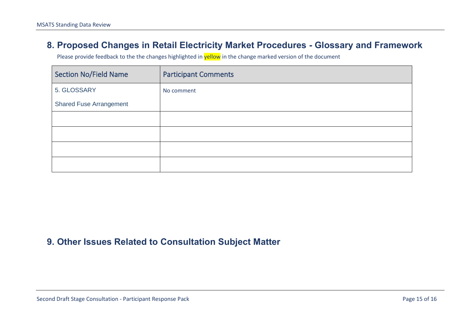#### **8. Proposed Changes in Retail Electricity Market Procedures - Glossary and Framework**

Please provide feedback to the the changes highlighted in **yellow** in the change marked version of the document

| <b>Section No/Field Name</b>   | <b>Participant Comments</b> |
|--------------------------------|-----------------------------|
| 5. GLOSSARY                    | No comment                  |
| <b>Shared Fuse Arrangement</b> |                             |
|                                |                             |
|                                |                             |
|                                |                             |
|                                |                             |

#### <span id="page-14-1"></span><span id="page-14-0"></span>**9. Other Issues Related to Consultation Subject Matter**